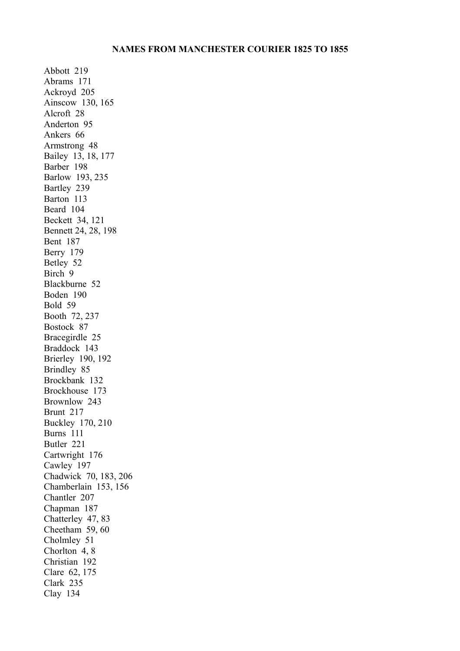Abbott 219 Abrams 171 Ackroyd 205 Ainscow 130, 165 Alcroft 28 Anderton 95 Ankers 66 Armstrong 48 Bailey 13, 18, 177 Barber 198 Barlow 193, 235 Bartley 239 Barton 113 Beard 104 Beckett 34, 121 Bennett 24, 28, 198 Bent 187 Berry 179 Betley 52 Birch 9 Blackburne 52 Boden 190 Bold 59 Booth 72, 237 Bostock 87 Bracegirdle 25 Braddock 143 Brierley 190, 192 Brindley 85 Brockbank 132 Brockhouse 173 Brownlow 243 Brunt 217 Buckley 170, 210 Burns 111 Butler 221 Cartwright 176 Cawley 197 Chadwick 70, 183, 206 Chamberlain 153, 156 Chantler 207 Chapman 187 Chatterley 47, 83 Cheetham 59, 60 Cholmley 51 Chorlton 4, 8 Christian 192 Clare 62, 175 Clark 235 Clay 134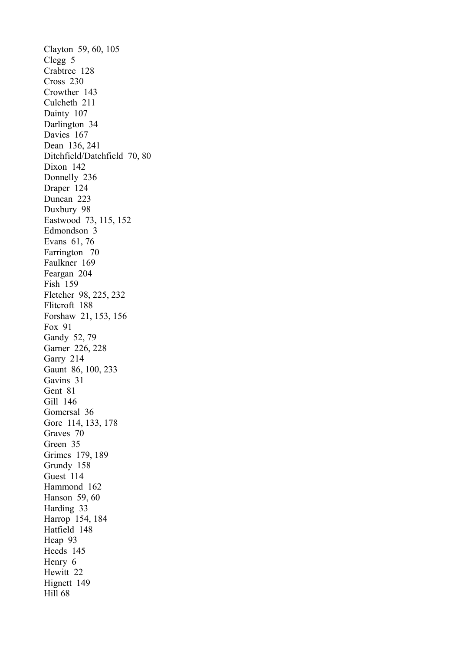Clayton 59, 60, 105 Clegg 5 Crabtree 128 Cross 230 Crowther 143 Culcheth 211 Dainty 107 Darlington 34 Davies 167 Dean 136, 241 Ditchfield/Datchfield 70, 80 Dixon 142 Donnelly 236 Draper 124 Duncan 223 Duxbury 98 Eastwood 73, 115, 152 Edmondson 3 Evans 61, 76 Farrington 70 Faulkner 169 Feargan 204 Fish 159 Fletcher 98, 225, 232 Flitcroft 188 Forshaw 21, 153, 156 Fox 91 Gandy 52, 79 Garner 226, 228 Garry 214 Gaunt 86, 100, 233 Gavins 31 Gent 81 Gill 146 Gomersal 36 Gore 114, 133, 178 Graves 70 Green 35 Grimes 179, 189 Grundy 158 Guest 114 Hammond 162 Hanson 59, 60 Harding 33 Harrop 154, 184 Hatfield 148 Heap 93 Heeds 145 Henry 6 Hewitt 22 Hignett 149 Hill 68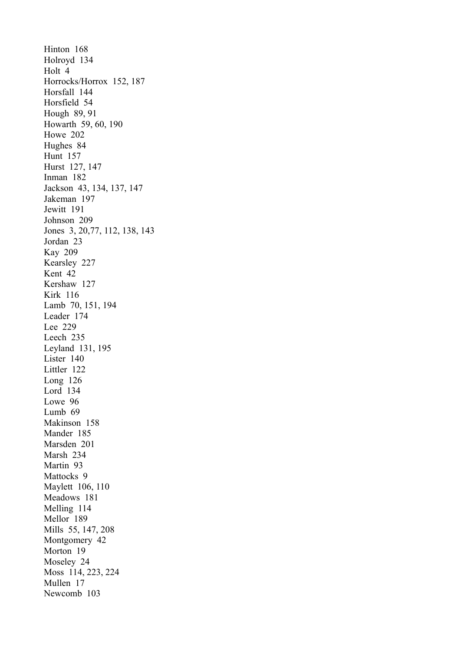Hinton 168 Holroyd 134 Holt 4 Horrocks/Horrox 152, 187 Horsfall 144 Horsfield 54 Hough 89, 91 Howarth 59, 60, 190 Howe 202 Hughes 84 Hunt 157 Hurst 127, 147 Inman 182 Jackson 43, 134, 137, 147 Jakeman 197 Jewitt 191 Johnson 209 Jones 3, 20,77, 112, 138, 143 Jordan 23 Kay 209 Kearsley 227 Kent 42 Kershaw 127 Kirk 116 Lamb 70, 151, 194 Leader 174 Lee 229 Leech 235 Leyland 131, 195 Lister 140 Littler 122 Long 126 Lord 134 Lowe 96 Lumb 69 Makinson 158 Mander 185 Marsden 201 Marsh 234 Martin 93 Mattocks 9 Maylett 106, 110 Meadows 181 Melling 114 Mellor 189 Mills 55, 147, 208 Montgomery 42 Morton 19 Moseley 24 Moss 114, 223, 224 Mullen 17 Newcomb 103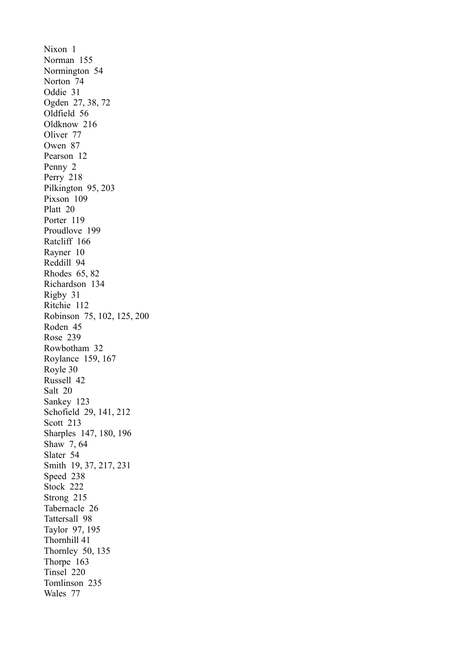Nixon 1 Norman 155 Normington 54 Norton 74 Oddie 31 Ogden 27, 38, 72 Oldfield 56 Oldknow 216 Oliver 77 Owen 87 Pearson 12 Penny 2 Perry 218 Pilkington 95, 203 Pixson 109 Platt 20 Porter 119 Proudlove 199 Ratcliff 166 Rayner 10 Reddill 94 Rhodes 65, 82 Richardson 134 Rigby 31 Ritchie 112 Robinson 75, 102, 125, 200 Roden 45 Rose 239 Rowbotham 32 Roylance 159, 167 Royle 30 Russell 42 Salt 20 Sankey 123 Schofield 29, 141, 212 Scott 213 Sharples 147, 180, 196 Shaw 7, 64 Slater 54 Smith 19, 37, 217, 231 Speed 238 Stock 222 Strong 215 Tabernacle 26 Tattersall 98 Taylor 97, 195 Thornhill 41 Thornley 50, 135 Thorpe 163 Tinsel 220 Tomlinson 235 Wales 77